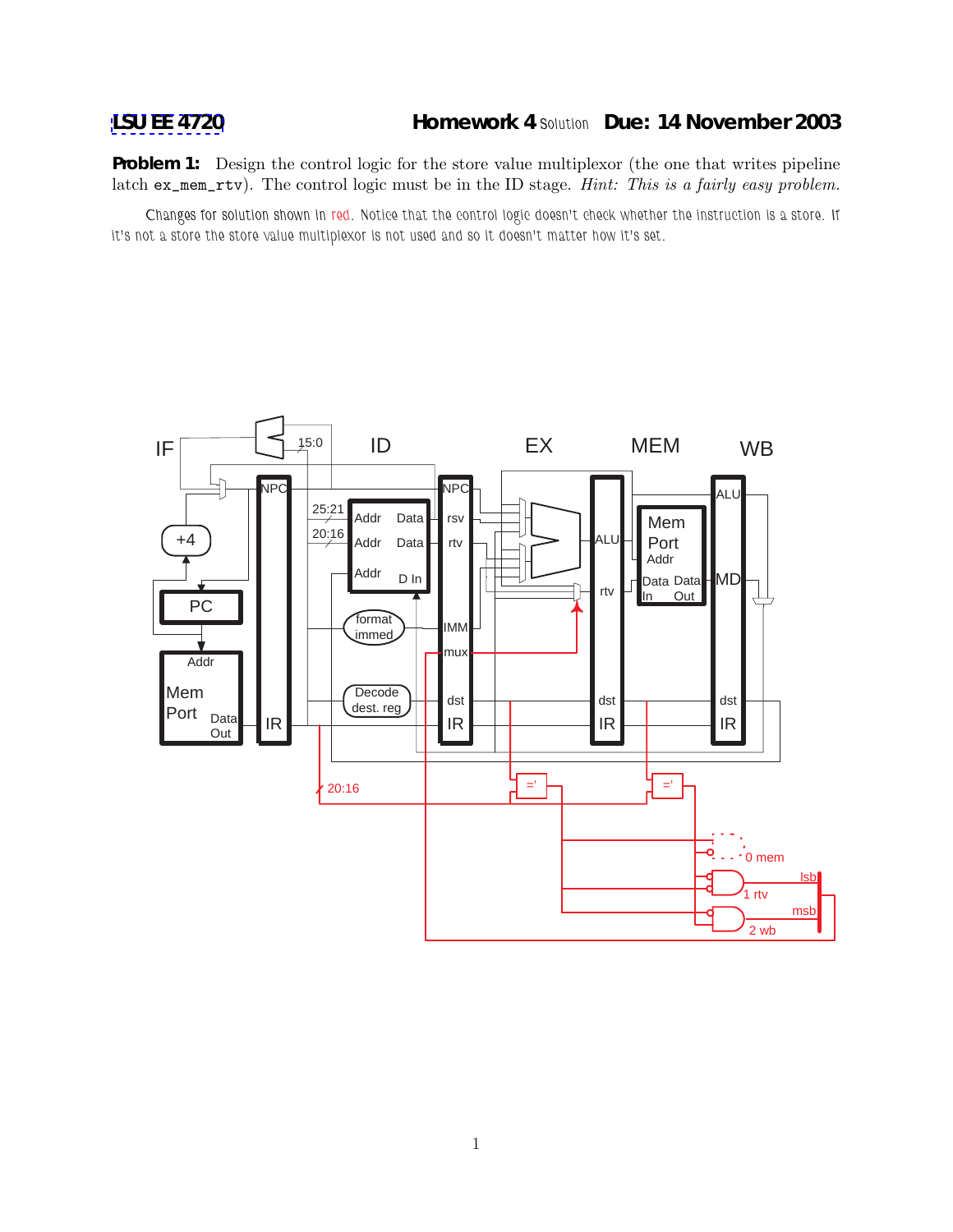**Problem 1:** Design the control logic for the store value multiplexor (the one that writes pipeline latch ex\_mem\_rtv). The control logic must be in the ID stage. *Hint: This is a fairly easy problem.*

*Changes for solution shown in red. Notice that the control logic doesn't check whether the instruction is a store. If it's not a store the store value multiplexor is not used and so it doesn't matter how it's set.*

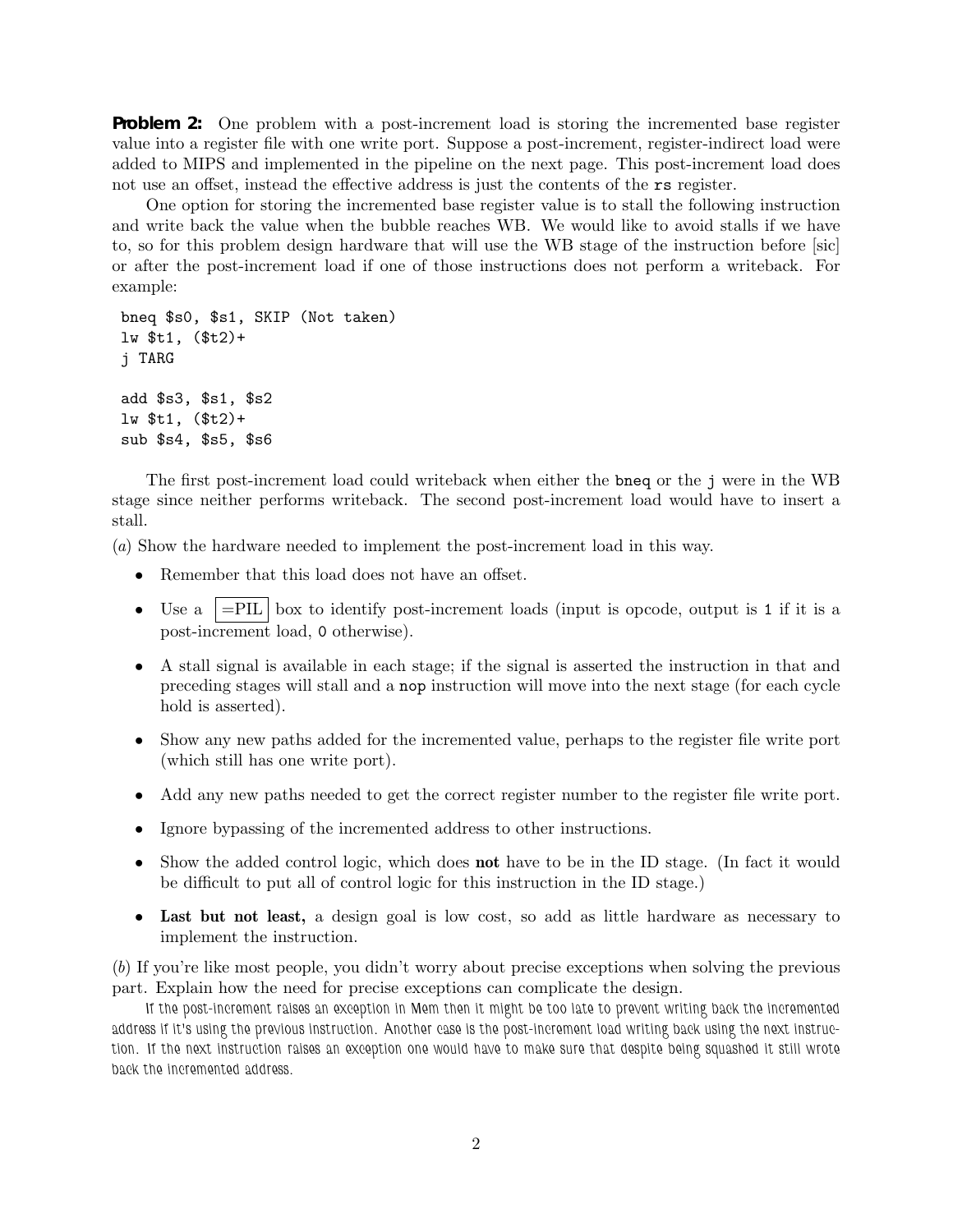**Problem 2:** One problem with a post-increment load is storing the incremented base register value into a register file with one write port. Suppose a post-increment, register-indirect load were added to MIPS and implemented in the pipeline on the next page. This post-increment load does not use an offset, instead the effective address is just the contents of the rs register.

One option for storing the incremented base register value is to stall the following instruction and write back the value when the bubble reaches WB. We would like to avoid stalls if we have to, so for this problem design hardware that will use the WB stage of the instruction before [sic] or after the post-increment load if one of those instructions does not perform a writeback. For example:

```
bneq $s0, $s1, SKIP (Not taken)
lw $t1, ($t2)+
j TARG
add $s3, $s1, $s2
lw $t1, ($t2)+
sub $s4, $s5, $s6
```
The first post-increment load could writeback when either the bneq or the j were in the WB stage since neither performs writeback. The second post-increment load would have to insert a stall.

(*a*) Show the hardware needed to implement the post-increment load in this way.

- Remember that this load does not have an offset.
- Use a  $=$ PIL box to identify post-increment loads (input is opcode, output is 1 if it is a post-increment load, 0 otherwise).
- A stall signal is available in each stage; if the signal is asserted the instruction in that and preceding stages will stall and a nop instruction will move into the next stage (for each cycle hold is asserted).
- Show any new paths added for the incremented value, perhaps to the register file write port (which still has one write port).
- Add any new paths needed to get the correct register number to the register file write port.
- Ignore bypassing of the incremented address to other instructions.
- Show the added control logic, which does **not** have to be in the ID stage. (In fact it would be difficult to put all of control logic for this instruction in the ID stage.)
- **Last but not least,** a design goal is low cost, so add as little hardware as necessary to implement the instruction.

(*b*) If you're like most people, you didn't worry about precise exceptions when solving the previous part. Explain how the need for precise exceptions can complicate the design.

*If the post-increment raises an exception in Mem then it might be too late to prevent writing back the incremented address if it's using the previous instruction. Another case is the post-increment load writing back using the next instruction. If the next instruction raises an exception one would have to make sure that despite being squashed it still wrote back the incremented address.*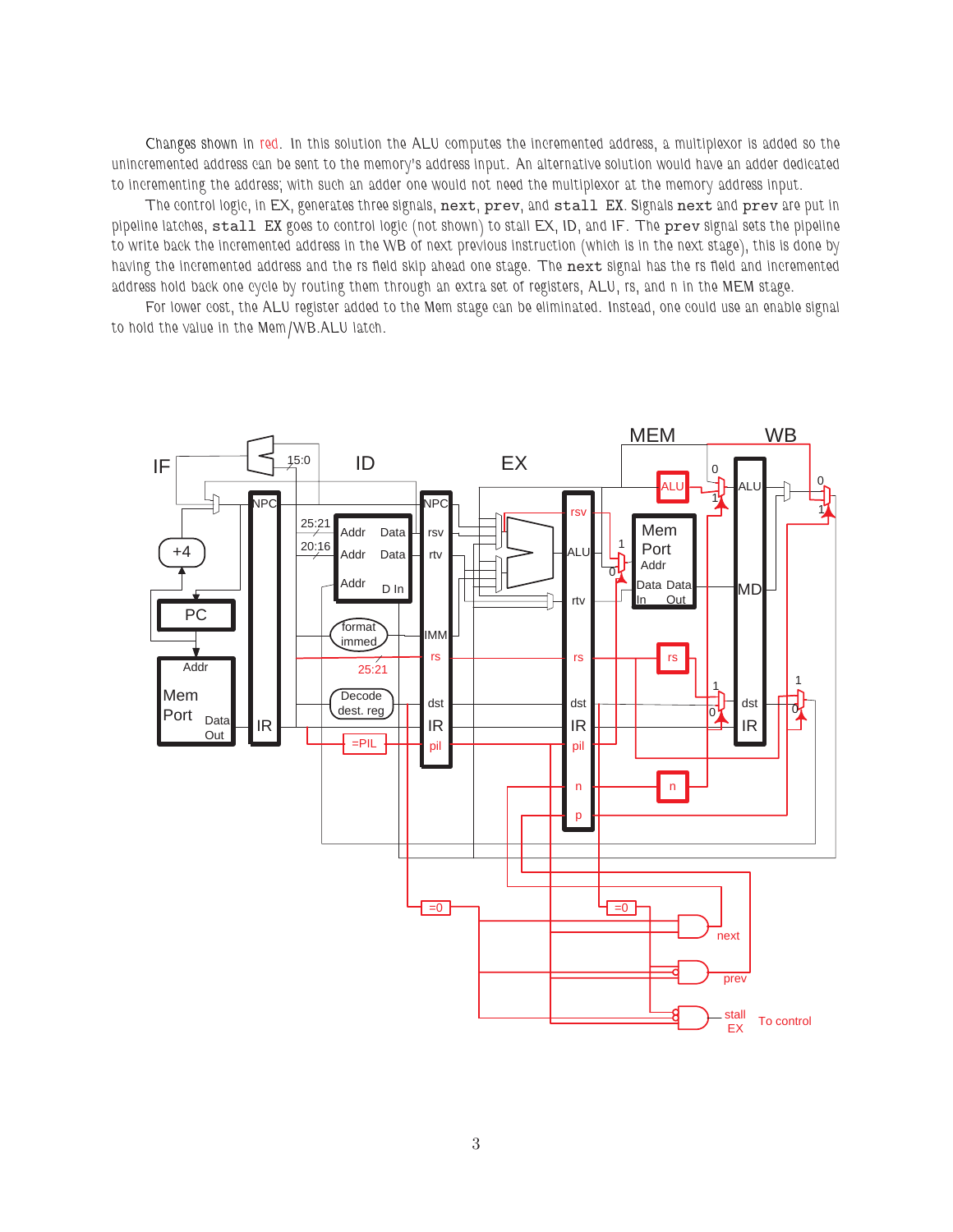*Changes shown in red. In this solution the ALU computes the incremented address, a multiplexor is added so the unincremented address can be sent to the memory's address input. An alternative solution would have an adder dedicated to incrementing the address; with such an adder one would not need the multiplexor at the memory address input.*

*The control logic, in EX, generates three signals,* next*,* prev*, and* stall EX*. Signals* next *and* prev *are put in pipeline latches,* stall EX *goes to control logic (not shown) to stall EX, ID, and IF. The* prev *signal sets the pipeline to write back the incremented address in the WB of next previous instruction (which is in the next stage), this is done by having the incremented address and the rs field skip ahead one stage. The* next *signal has the rs field and incremented address hold back one cycle by routing them through an extra set of registers, ALU, rs, and n in the MEM stage.*

*For lower cost, the ALU register added to the Mem stage can be eliminated. Instead, one could use an enable signal to hold the value in the Mem/WB.ALU latch.*